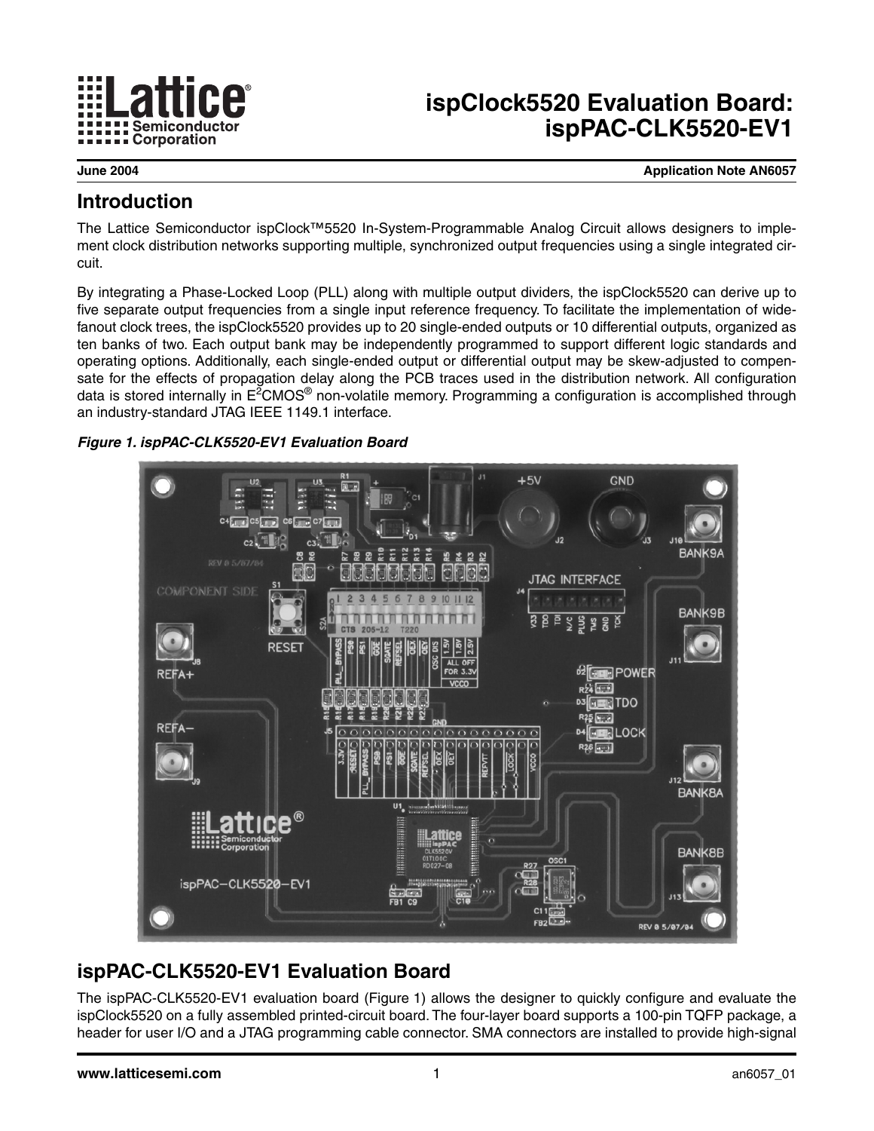

# **ispClock5520 Evaluation Board: ispPAC-CLK5520-EV1**

**June 2004 Application Note AN6057**

### **Introduction**

The Lattice Semiconductor ispClock™5520 In-System-Programmable Analog Circuit allows designers to implement clock distribution networks supporting multiple, synchronized output frequencies using a single integrated circuit.

By integrating a Phase-Locked Loop (PLL) along with multiple output dividers, the ispClock5520 can derive up to five separate output frequencies from a single input reference frequency. To facilitate the implementation of widefanout clock trees, the ispClock5520 provides up to 20 single-ended outputs or 10 differential outputs, organized as ten banks of two. Each output bank may be independently programmed to support different logic standards and operating options. Additionally, each single-ended output or differential output may be skew-adjusted to compensate for the effects of propagation delay along the PCB traces used in the distribution network. All configuration data is stored internally in E<sup>2</sup>CMOS® non-volatile memory. Programming a configuration is accomplished through an industry-standard JTAG IEEE 1149.1 interface.

#### <span id="page-0-0"></span>*Figure 1. ispPAC-CLK5520-EV1 Evaluation Board*



# **ispPAC-CLK5520-EV1 Evaluation Board**

The ispPAC-CLK5520-EV1 evaluation board [\(Figure 1](#page-0-0)) allows the designer to quickly configure and evaluate the ispClock5520 on a fully assembled printed-circuit board. The four-layer board supports a 100-pin TQFP package, a header for user I/O and a JTAG programming cable connector. SMA connectors are installed to provide high-signal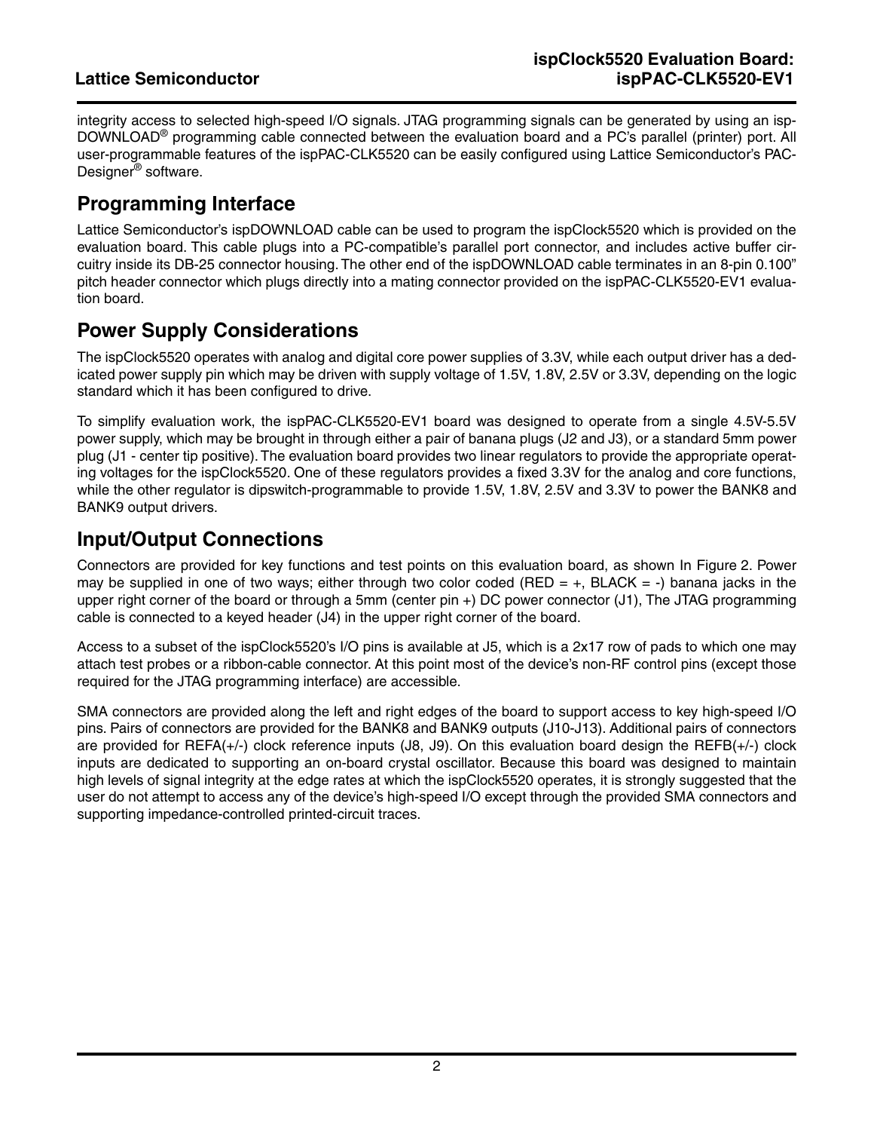integrity access to selected high-speed I/O signals. JTAG programming signals can be generated by using an isp-DOWNLOAD<sup>®</sup> programming cable connected between the evaluation board and a PC's parallel (printer) port. All user-programmable features of the ispPAC-CLK5520 can be easily configured using Lattice Semiconductor's PAC-Designer® software.

# **Programming Interface**

Lattice Semiconductor's ispDOWNLOAD cable can be used to program the ispClock5520 which is provided on the evaluation board. This cable plugs into a PC-compatible's parallel port connector, and includes active buffer circuitry inside its DB-25 connector housing. The other end of the ispDOWNLOAD cable terminates in an 8-pin 0.100" pitch header connector which plugs directly into a mating connector provided on the ispPAC-CLK5520-EV1 evaluation board.

# **Power Supply Considerations**

The ispClock5520 operates with analog and digital core power supplies of 3.3V, while each output driver has a dedicated power supply pin which may be driven with supply voltage of 1.5V, 1.8V, 2.5V or 3.3V, depending on the logic standard which it has been configured to drive.

To simplify evaluation work, the ispPAC-CLK5520-EV1 board was designed to operate from a single 4.5V-5.5V power supply, which may be brought in through either a pair of banana plugs (J2 and J3), or a standard 5mm power plug (J1 - center tip positive). The evaluation board provides two linear regulators to provide the appropriate operating voltages for the ispClock5520. One of these regulators provides a fixed 3.3V for the analog and core functions, while the other regulator is dipswitch-programmable to provide 1.5V, 1.8V, 2.5V and 3.3V to power the BANK8 and BANK9 output drivers.

## **Input/Output Connections**

Connectors are provided for key functions and test points on this evaluation board, as shown In [Figure 2.](#page-2-0) Power may be supplied in one of two ways; either through two color coded (RED =  $+$ , BLACK =  $-$ ) banana jacks in the upper right corner of the board or through a 5mm (center pin +) DC power connector (J1), The JTAG programming cable is connected to a keyed header (J4) in the upper right corner of the board.

Access to a subset of the ispClock5520's I/O pins is available at J5, which is a 2x17 row of pads to which one may attach test probes or a ribbon-cable connector. At this point most of the device's non-RF control pins (except those required for the JTAG programming interface) are accessible.

SMA connectors are provided along the left and right edges of the board to support access to key high-speed I/O pins. Pairs of connectors are provided for the BANK8 and BANK9 outputs (J10-J13). Additional pairs of connectors are provided for REFA(+/-) clock reference inputs (J8, J9). On this evaluation board design the REFB(+/-) clock inputs are dedicated to supporting an on-board crystal oscillator. Because this board was designed to maintain high levels of signal integrity at the edge rates at which the ispClock5520 operates, it is strongly suggested that the user do not attempt to access any of the device's high-speed I/O except through the provided SMA connectors and supporting impedance-controlled printed-circuit traces.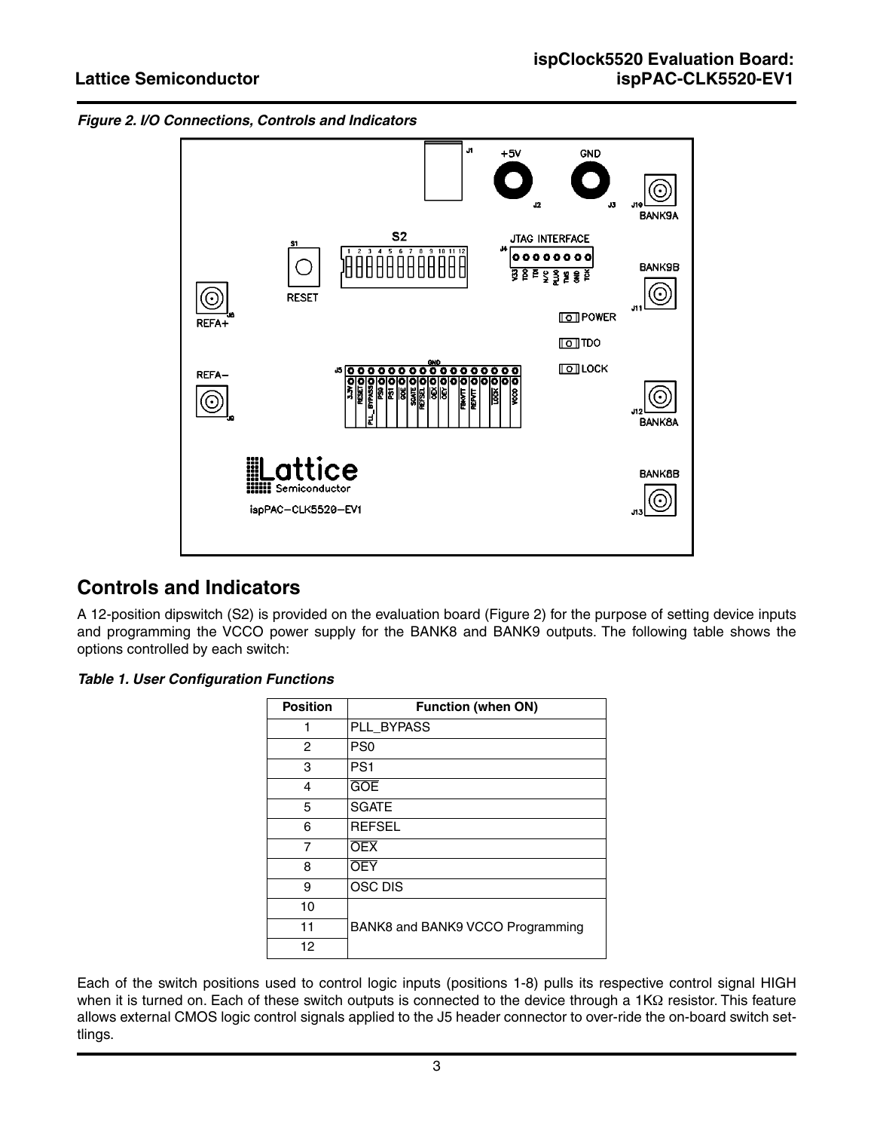<span id="page-2-0"></span>



## **Controls and Indicators**

A 12-position dipswitch (S2) is provided on the evaluation board ([Figure 2](#page-2-0)) for the purpose of setting device inputs and programming the VCCO power supply for the BANK8 and BANK9 outputs. The following table shows the options controlled by each switch:

#### *Table 1. User Configuration Functions*

| <b>Position</b> | <b>Function (when ON)</b>        |
|-----------------|----------------------------------|
| 1               | PLL_BYPASS                       |
| 2               | PS <sub>0</sub>                  |
| 3               | PS <sub>1</sub>                  |
| 4               | <b>GOE</b>                       |
| 5               | <b>SGATE</b>                     |
| 6               | <b>REFSEL</b>                    |
| 7               | <b>OEX</b>                       |
| 8               | <b>OEY</b>                       |
| 9               | <b>OSC DIS</b>                   |
| 10              |                                  |
| 11              | BANK8 and BANK9 VCCO Programming |
| 12              |                                  |

Each of the switch positions used to control logic inputs (positions 1-8) pulls its respective control signal HIGH when it is turned on. Each of these switch outputs is connected to the device through a 1KΩ resistor. This feature allows external CMOS logic control signals applied to the J5 header connector to over-ride the on-board switch settlings.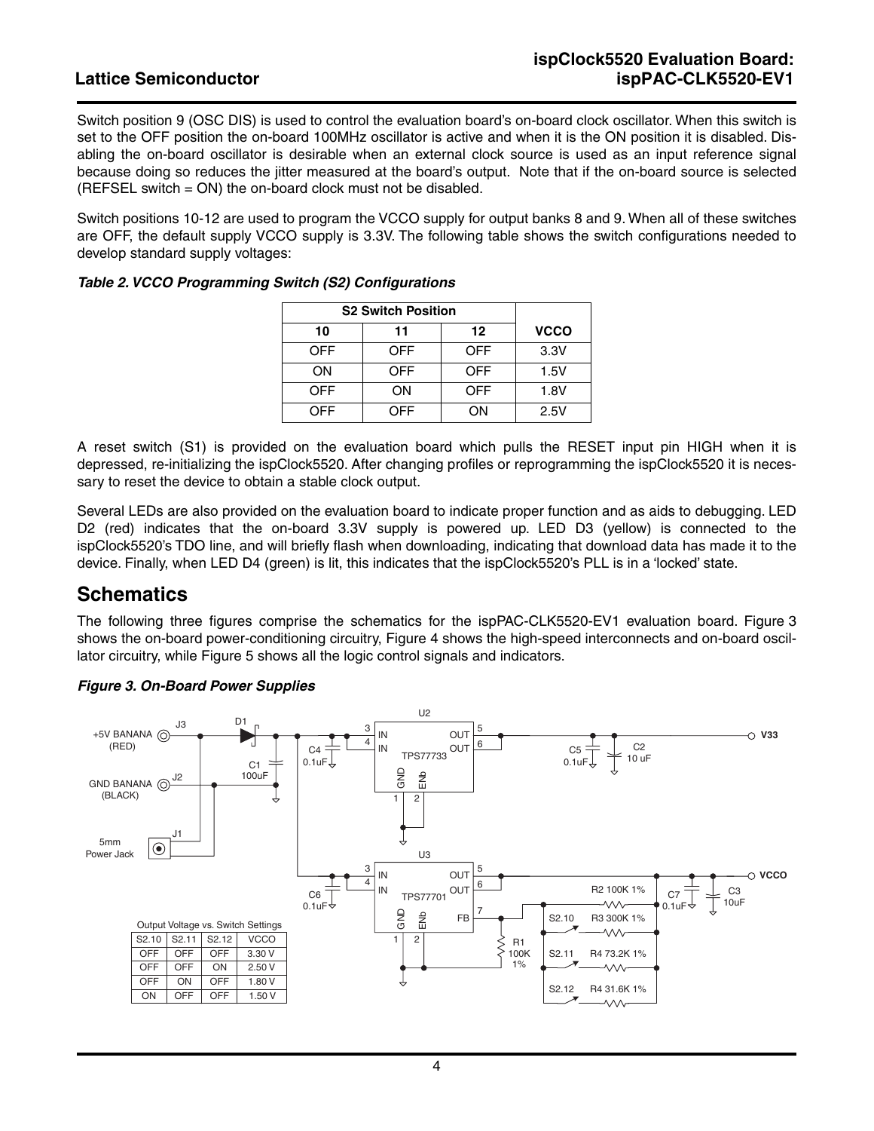Switch position 9 (OSC DIS) is used to control the evaluation board's on-board clock oscillator. When this switch is set to the OFF position the on-board 100MHz oscillator is active and when it is the ON position it is disabled. Disabling the on-board oscillator is desirable when an external clock source is used as an input reference signal because doing so reduces the jitter measured at the board's output. Note that if the on-board source is selected (REFSEL switch = ON) the on-board clock must not be disabled.

Switch positions 10-12 are used to program the VCCO supply for output banks 8 and 9. When all of these switches are OFF, the default supply VCCO supply is 3.3V. The following table shows the switch configurations needed to develop standard supply voltages:

| <b>S2 Switch Position</b> |     |            |             |
|---------------------------|-----|------------|-------------|
| 10                        | 11  | 12         | <b>VCCO</b> |
| <b>OFF</b>                | OFF | <b>OFF</b> | 3.3V        |
| ON                        | OFF | OFF        | 1.5V        |
| <b>OFF</b>                | ΟN  | OFF        | 1.8V        |
| OFF                       | DFF | OΝ         | 2.5V        |

| Table 2. VCCO Programming Switch (S2) Configurations |
|------------------------------------------------------|
|------------------------------------------------------|

A reset switch (S1) is provided on the evaluation board which pulls the RESET input pin HIGH when it is depressed, re-initializing the ispClock5520. After changing profiles or reprogramming the ispClock5520 it is necessary to reset the device to obtain a stable clock output.

Several LEDs are also provided on the evaluation board to indicate proper function and as aids to debugging. LED D2 (red) indicates that the on-board 3.3V supply is powered up. LED D3 (yellow) is connected to the ispClock5520's TDO line, and will briefly flash when downloading, indicating that download data has made it to the device. Finally, when LED D4 (green) is lit, this indicates that the ispClock5520's PLL is in a 'locked' state.

### **Schematics**

The following three figures comprise the schematics for the ispPAC-CLK5520-EV1 evaluation board. [Figure 3](#page-3-0) shows the on-board power-conditioning circuitry, [Figure 4](#page-4-0) shows the high-speed interconnects and on-board oscillator circuitry, while [Figure 5](#page-4-1) shows all the logic control signals and indicators.



#### <span id="page-3-0"></span>*Figure 3. On-Board Power Supplies*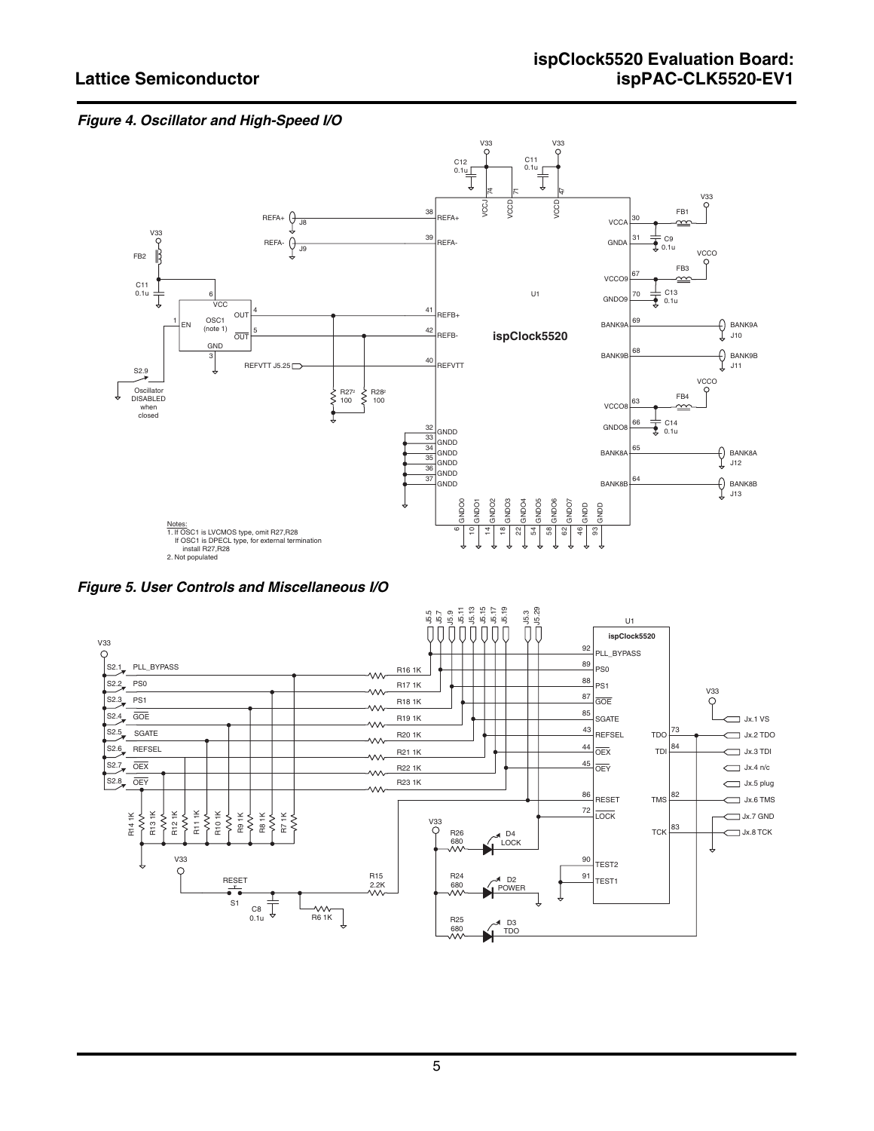#### <span id="page-4-0"></span>*Figure 4. Oscillator and High-Speed I/O*



<span id="page-4-1"></span>*Figure 5. User Controls and Miscellaneous I/O*

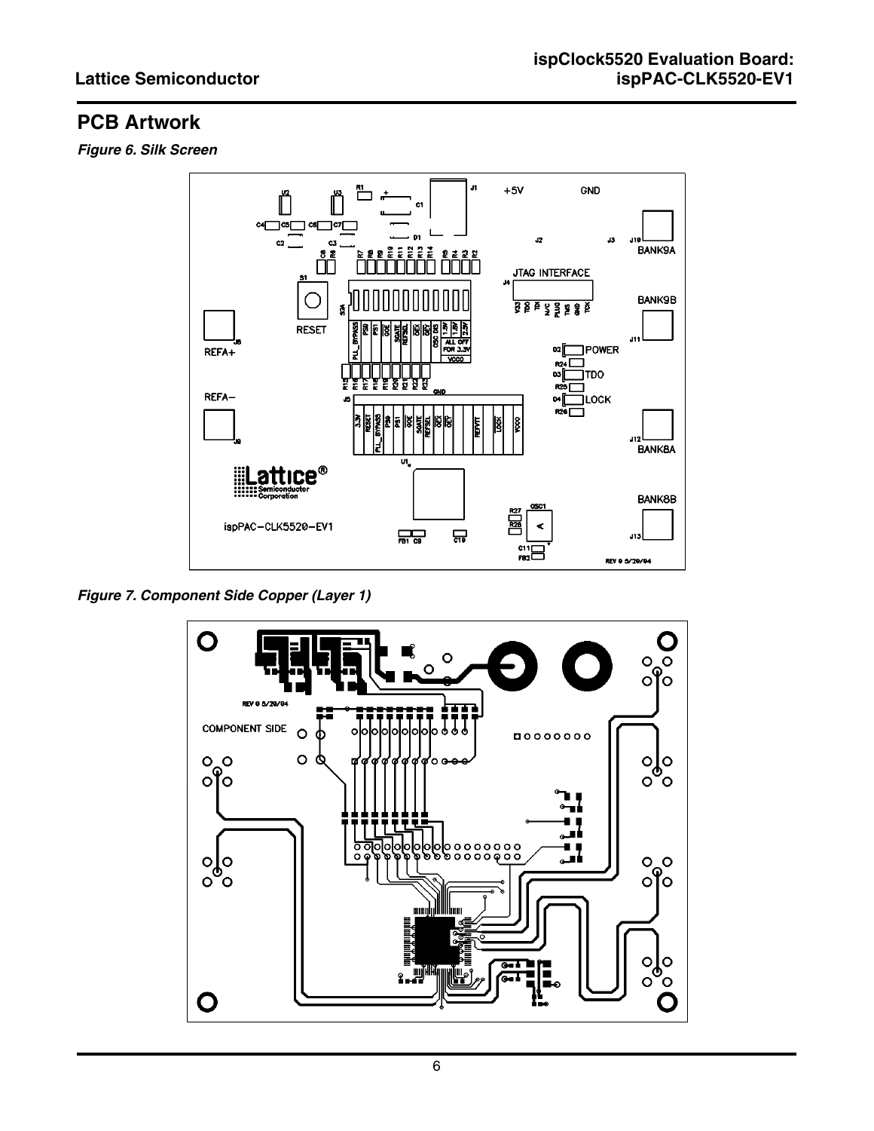# **PCB Artwork**

*Figure 6. Silk Screen*



*Figure 7. Component Side Copper (Layer 1)*

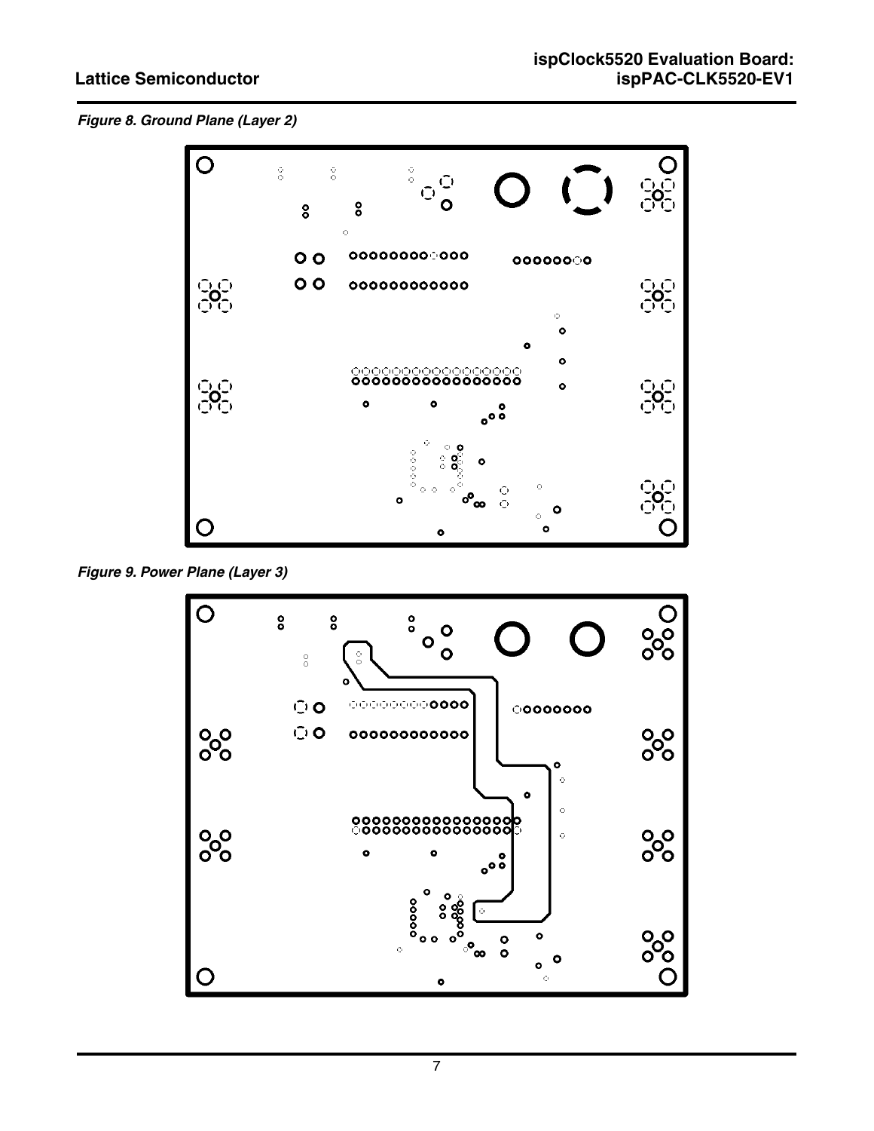*Figure 8. Ground Plane (Layer 2)*



*Figure 9. Power Plane (Layer 3)*

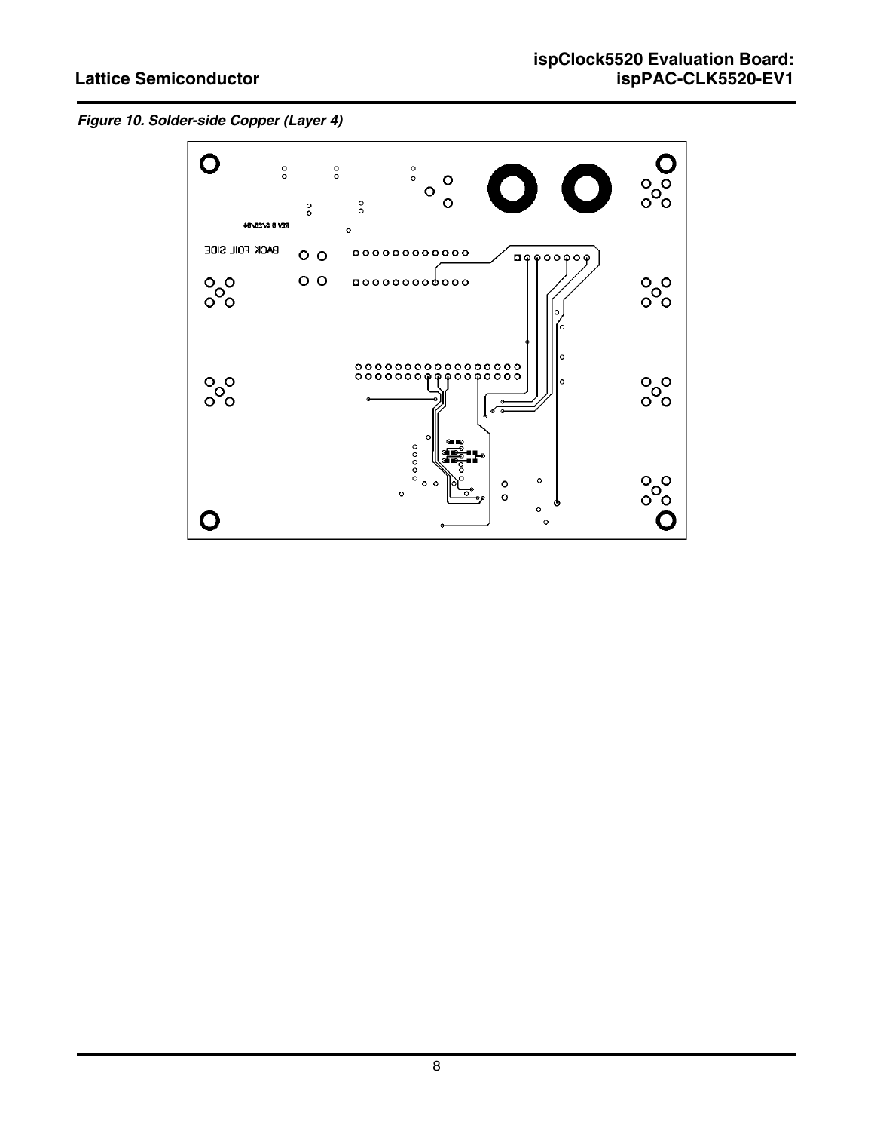### **Lattice Semiconductor**

*Figure 10. Solder-side Copper (Layer 4)*